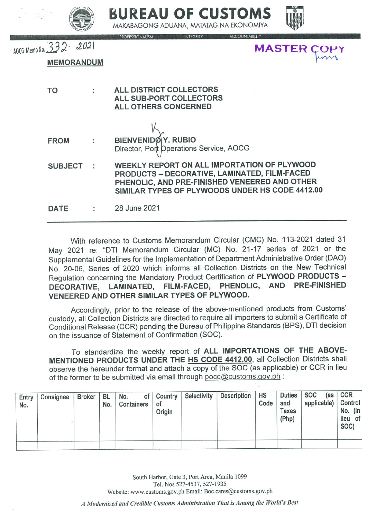





**MASTER COPY** 

AOCG Memo No. 332 - 2021 MEMORANDUM To FROM ALL DISTRICT COLLECTORS ALL SUB-PORT COLLECTORS ALL OTHERS CONCERNED . **BIENVENIDØY. RUBIO** Director, Port Operations Service, AOCG

SUBJECT . WEEKLY REPORT ON ALL IMPORTATION OF PLYWOOD PRODUCTS - DECORATIVE, LAMINATED, FILM-FACED PHENOLIC, AND PRE-FINISHED VENEERED AND OTHER SIMILAR TYPES OF PLYWOODS UNDER HS CODE 4412.00

28 June 2021 DATE ÷

With reference to Customs Memorandum Circular (CMC) No. 113-2021 dated 31 May 2021 re: "DTI Memorandum Circular' (MC) No. 21-17 series of 2021 or the Supplemental Guidelines for the Implementation of Department Administrative Order (DAO) No. 20-06, Series of 2020 which informs all Collection Districts on the New Technical Regulation concerning the Mandatory Product Certification of PLYWOOD PRODUCTS -DECORATNE, LAMINATED, FILM-FACED, PHENOLIC, AND PRE-FINISHED VENEERED AND OTHER SIMILAR TYPES OF PLYWOOD.

Accordingly, prior to the release of the above-mentioned products from Customs custody, all Collection Districts are directed to require all importers to submit a Certificate of Conditional Release (CCR) pending the Bureau of Philippine Standards (Bps), DTl decision on the issuance of Statement of Confirmation (SOC)

To standardize the weekly report of ALL IMPORTATIONS OF THE ABOVE-MENTIONED PRODUCTS UNDER THE HS CODE 4412.00, all Collection Districts shall observe the hereunder format and attach a copy of the SOC (as applicable) or CCR in lieu of the former to be submitted via email through  $pocd@customs.gov.ph$  :

| Entry<br>No. | Consignee | <b>Broker</b> | BL<br>No. | No.<br><b>Containers</b> | of Country<br>оf<br>Origin | Selectivity | Description | <b>HS</b><br>Code | <b>Duties</b><br>and<br><b>Taxes</b><br>(Php) | <b>SOC</b><br>(as<br>applicable) | <b>CCR</b><br>Control<br>No. (in<br>lieu of<br>SOC) |
|--------------|-----------|---------------|-----------|--------------------------|----------------------------|-------------|-------------|-------------------|-----------------------------------------------|----------------------------------|-----------------------------------------------------|
|              |           |               |           |                          |                            |             |             |                   |                                               |                                  |                                                     |

South Harbor, Gate 3, Port Area, Manila 1099 Tel. Nos 527-4537, 527-1935 Website: WWW. customs. gov. ph Email: Boc. cares@customs. gov. ph

A Modernized and Credible Customs Administration That is Among the World's Best